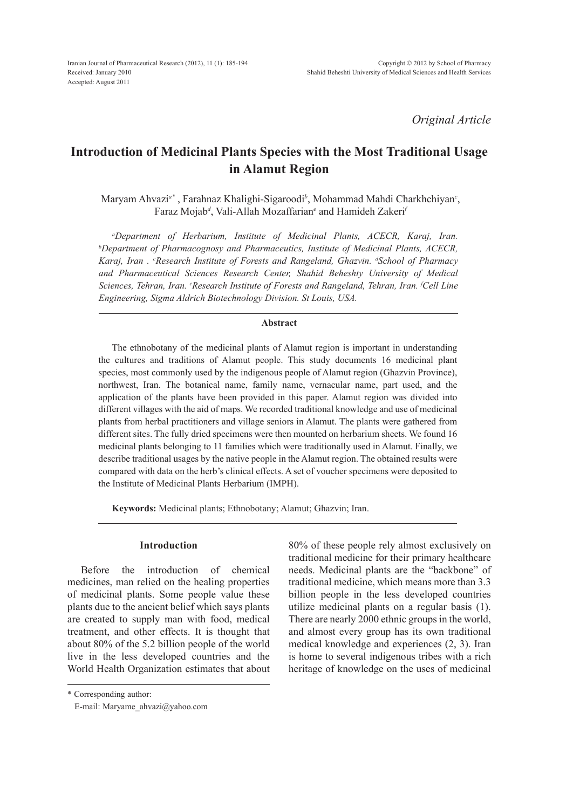*Original Article*

# **Introduction of Medicinal Plants Species with the Most Traditional Usage in Alamut Region**

Maryam Ahvazi*a\** , Farahnaz Khalighi-Sigaroodi*<sup>b</sup>* , Mohammad Mahdi Charkhchiyan*<sup>c</sup>* , Faraz Mojab*<sup>d</sup>* , Vali-Allah Mozaffarian*<sup>e</sup>* and Hamideh Zakeri*<sup>f</sup>*

*a Department of Herbarium, Institute of Medicinal Plants, ACECR, Karaj, Iran. b <i>Department of Pharmacognosy and Pharmaceutics, Institute of Medicinal Plants, ACECR,* Karaj, Iran . <sup>c</sup>Research Institute of Forests and Rangeland, Ghazvin. <sup>d</sup>School of Pharmacy *and Pharmaceutical Sciences Research Center, Shahid Beheshty University of Medical Sciences, Tehran, Iran. e Research Institute of Forests and Rangeland, Tehran, Iran. f Cell Line Engineering, Sigma Aldrich Biotechnology Division. St Louis, USA.*

#### **Abstract**

The ethnobotany of the medicinal plants of Alamut region is important in understanding the cultures and traditions of Alamut people. This study documents 16 medicinal plant species, most commonly used by the indigenous people of Alamut region (Ghazvin Province), northwest, Iran. The botanical name, family name, vernacular name, part used, and the application of the plants have been provided in this paper. Alamut region was divided into different villages with the aid of maps. We recorded traditional knowledge and use of medicinal plants from herbal practitioners and village seniors in Alamut. The plants were gathered from different sites. The fully dried specimens were then mounted on herbarium sheets. We found 16 medicinal plants belonging to 11 families which were traditionally used in Alamut. Finally, we describe traditional usages by the native people in the Alamut region. The obtained results were compared with data on the herb's clinical effects. A set of voucher specimens were deposited to the Institute of Medicinal Plants Herbarium (IMPH).

**Keywords:** Medicinal plants; Ethnobotany; Alamut; Ghazvin; Iran.

# **Introduction**

Before the introduction of chemical medicines, man relied on the healing properties of medicinal plants. Some people value these plants due to the ancient belief which says plants are created to supply man with food, medical treatment, and other effects. It is thought that about 80% of the 5.2 billion people of the world live in the less developed countries and the World Health Organization estimates that about 80% of these people rely almost exclusively on traditional medicine for their primary healthcare needs. Medicinal plants are the "backbone" of traditional medicine, which means more than 3.3 billion people in the less developed countries utilize medicinal plants on a regular basis (1). There are nearly 2000 ethnic groups in the world, and almost every group has its own traditional medical knowledge and experiences (2, 3). Iran is home to several indigenous tribes with a rich heritage of knowledge on the uses of medicinal

\* Corresponding author:

E-mail: Maryame\_ahvazi@yahoo.com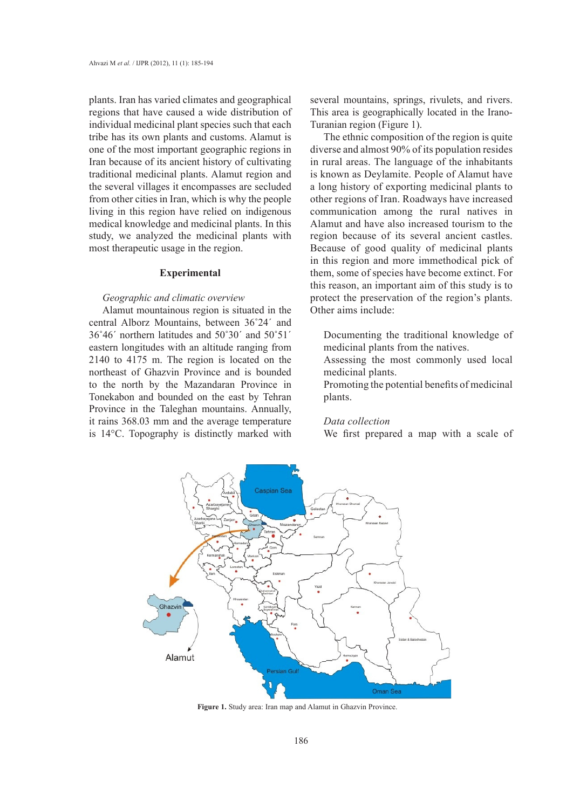plants. Iran has varied climates and geographical regions that have caused a wide distribution of individual medicinal plant species such that each tribe has its own plants and customs. Alamut is one of the most important geographic regions in Iran because of its ancient history of cultivating traditional medicinal plants. Alamut region and the several villages it encompasses are secluded from other cities in Iran, which is why the people living in this region have relied on indigenous medical knowledge and medicinal plants. In this study, we analyzed the medicinal plants with most therapeutic usage in the region.

### **Experimental**

#### *Geographic and climatic overview*

central Alborz Mountains, between 36˚24´ and 36°46' northern latitudes and 50°30' and 50°51' Documenting the traditional knowledge eastern longitudes with an altitude ranging from 2140 to 4175 m. The region is located on the Assessing the most commonly used lo northeast of Ghazvin Province and is bounded to the north by the Mazandaran Province in Tonekabon and bounded on the east by Tehran Province in the Taleghan mountains. Annually, it rains 368.03 mm and the average temperature is 14°C. Topography is distinctly marked with

several mountains, springs, rivulets, and rivers. This area is geographically located in the Irano-Turanian region (Figure 1).

Alamut mountainous region is situated in the Other aims include: The ethnic composition of the region is quite diverse and almost 90% of its population resides in rural areas. The language of the inhabitants is known as Deylamite. People of Alamut have a long history of exporting medicinal plants to other regions of Iran. Roadways have increased communication among the rural natives in Alamut and have also increased tourism to the region because of its several ancient castles. Because of good quality of medicinal plants in this region and more immethodical pick of them, some of species have become extinct. For this reason, an important aim of this study is to protect the preservation of the region's plants. Other aims include:

> Documenting the traditional knowledge of medicinal plants from the natives.

> Assessing the most commonly used local medicinal plants.

Mazandaran Province in Promoting the potential benefits of medicinal plants.

## *Data collection*

We first prepared a map with a scale of



**Figure 1.** Study area: Iran map and Alamut in Ghazvin Province. **Figure 1.** Study area: Iran map and Alamut in Ghazvin Province.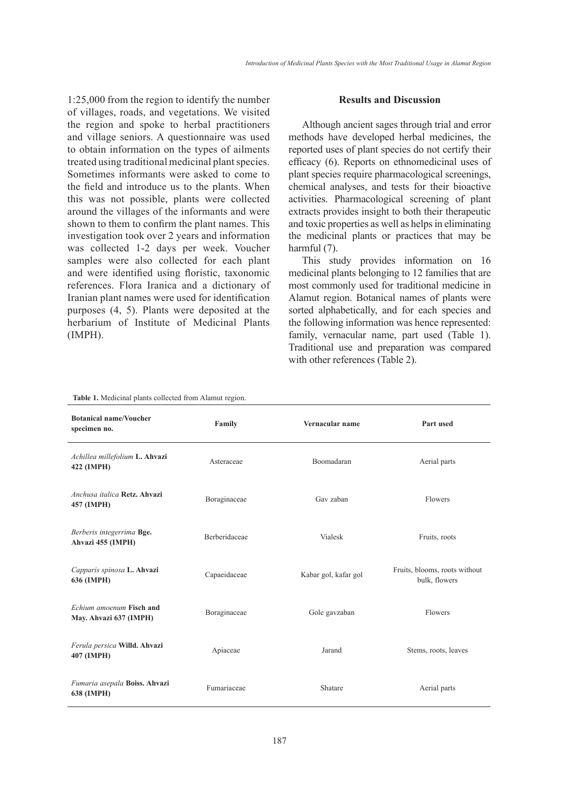1:25,000 from the region to identify the number of villages, roads, and vegetations. We visited the region and spoke to herbal practitioners and village seniors. A questionnaire was used to obtain information on the types of ailments treated using traditional medicinal plant species. Sometimes informants were asked to come to the field and introduce us to the plants. When this was not possible, plants were collected around the villages of the informants and were shown to them to confirm the plant names. This investigation took over 2 years and information was collected 1-2 days per week. Voucher samples were also collected for each plant and were identified using floristic, taxonomic references. Flora Iranica and a dictionary of Iranian plant names were used for identification purposes (4, 5). Plants were deposited at the herbarium of Institute of Medicinal Plants (IMPH).

#### **Results and Discussion**

Although ancient sages through trial and error methods have developed herbal medicines, the reported uses of plant species do not certify their efficacy (6). Reports on ethnomedicinal uses of plant species require pharmacological screenings, chemical analyses, and tests for their bioactive activities. Pharmacological screening of plant extracts provides insight to both their therapeutic and toxic properties as well as helps in eliminating the medicinal plants or practices that may be harmful (7).

This study provides information on 16 medicinal plants belonging to 12 families that are most commonly used for traditional medicine in Alamut region. Botanical names of plants were sorted alphabetically, and for each species and the following information was hence represented: family, vernacular name, part used (Table 1). Traditional use and preparation was compared with other references (Table 2).

| <b>Botanical name/Voucher</b><br>specimen no.      | Family               | Vernacular name      | Part used                                      |
|----------------------------------------------------|----------------------|----------------------|------------------------------------------------|
| Achillea millefolium L. Ahvazi<br>422 (IMPH)       | Asteraceae           | Boomadaran           | Aerial parts                                   |
| Anchusa italica Retz, Ahvazi<br>457 (IMPH)         | Boraginaceae         | Gav zaban            | <b>Flowers</b>                                 |
| Berberis integerrima Bge.<br>Ahvazi 455 (IMPH)     | <b>Berberidaceae</b> | <b>Vialesk</b>       | Fruits, roots                                  |
| Capparis spinosa L. Ahvazi<br>636 (IMPH)           | Capaeidaceae         | Kabar gol, kafar gol | Fruits, blooms, roots without<br>bulk, flowers |
| Echium amoenum Fisch and<br>May. Ahvazi 637 (IMPH) | Boraginaceae         | Gole gavzaban        | <b>Flowers</b>                                 |
| Ferula persica Willd. Ahvazi<br>407 (IMPH)         | Apiaceae             | Jarand               | Stems, roots, leaves                           |
| Fumaria asepala Boiss. Ahvazi<br>638 (IMPH)        | Fumariaceae          | Shatare              | Aerial parts                                   |

**Table 1.** Medicinal plants collected from Alamut region.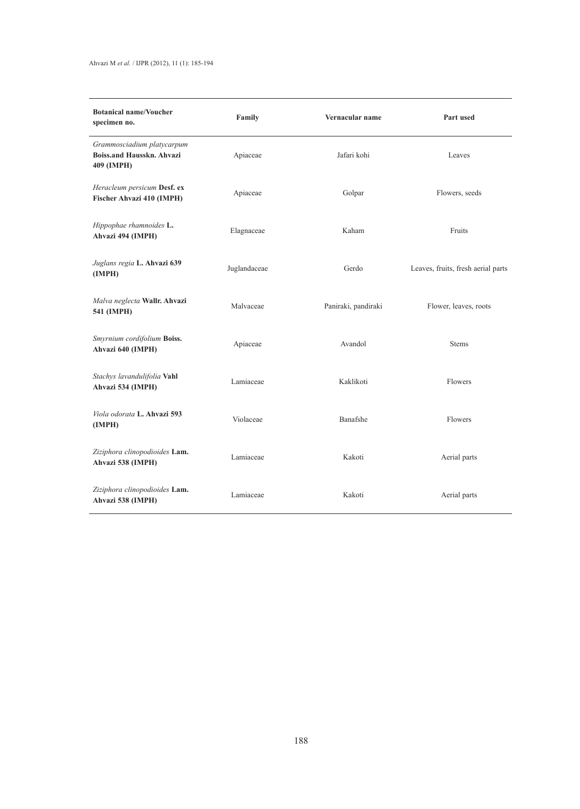# Ahvazi M *et al.* / IJPR (2012), 11 (1): 185-194

| <b>Botanical name/Voucher</b><br>specimen no.                                | Family       | Vernacular name     | Part used                          |
|------------------------------------------------------------------------------|--------------|---------------------|------------------------------------|
| Grammosciadium platycarpum<br><b>Boiss.and Hausskn. Ahvazi</b><br>409 (IMPH) | Apiaceae     | Jafari kohi         | Leaves                             |
| Heracleum persicum Desf. ex<br>Fischer Ahvazi 410 (IMPH)                     | Apiaceae     | Golpar              | Flowers, seeds                     |
| Hippophae rhamnoides L.<br>Ahvazi 494 (IMPH)                                 | Elagnaceae   | Kaham               | Fruits                             |
| Juglans regia L. Ahvazi 639<br>(IMPH)                                        | Juglandaceae | Gerdo               | Leaves, fruits, fresh aerial parts |
| Malva neglecta Wallr. Ahvazi<br>541 (IMPH)                                   | Malvaceae    | Paniraki, pandiraki | Flower, leaves, roots              |
| Smyrnium cordifolium Boiss.<br>Ahvazi 640 (IMPH)                             | Apiaceae     | Avandol             | <b>Stems</b>                       |
| Stachys lavandulifolia Vahl<br>Ahvazi 534 (IMPH)                             | Lamiaceae    | Kaklikoti           | Flowers                            |
| Viola odorata L. Ahvazi 593<br>(IMPH)                                        | Violaceae    | Banafshe            | Flowers                            |
| Ziziphora clinopodioides Lam.<br>Ahvazi 538 (IMPH)                           | Lamiaceae    | Kakoti              | Aerial parts                       |
| Ziziphora clinopodioides Lam.<br>Ahvazi 538 (IMPH)                           | Lamiaceae    | Kakoti              | Aerial parts                       |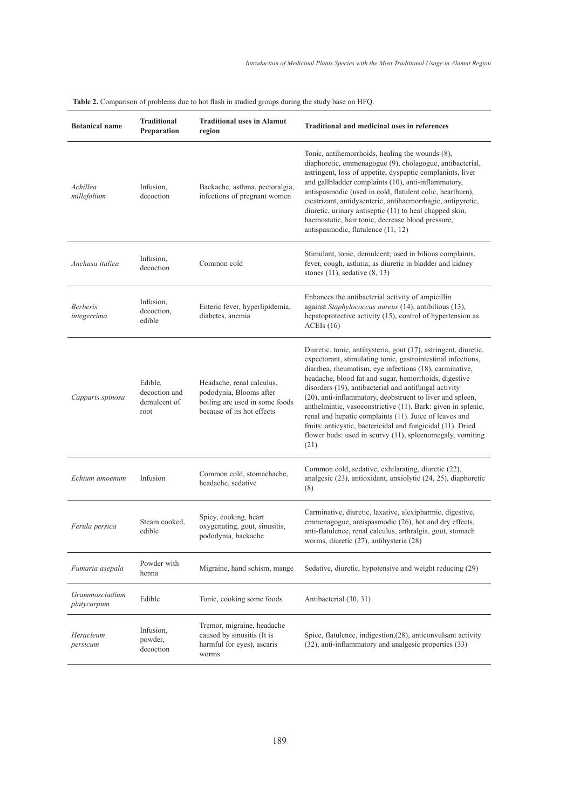| <b>Botanical name</b>          | <b>Traditional</b><br>Preparation                | <b>Traditional uses in Alamut</b><br>region                                                                          | <b>Traditional and medicinal uses in references</b>                                                                                                                                                                                                                                                                                                                                                                                                                                                                                                                                                                                     |
|--------------------------------|--------------------------------------------------|----------------------------------------------------------------------------------------------------------------------|-----------------------------------------------------------------------------------------------------------------------------------------------------------------------------------------------------------------------------------------------------------------------------------------------------------------------------------------------------------------------------------------------------------------------------------------------------------------------------------------------------------------------------------------------------------------------------------------------------------------------------------------|
| Achillea<br>millefolium        | Infusion,<br>decoction                           | Backache, asthma, pectoralgia,<br>infections of pregnant women                                                       | Tonic, antihemorrhoids, healing the wounds (8),<br>diaphoretic, emmenagogue (9), cholagogue, antibacterial,<br>astringent, loss of appetite, dyspeptic complanints, liver<br>and gallbladder complaints (10), anti-inflammatory,<br>antispasmodic (used in cold, flatulent colic, heartburn),<br>cicatrizant, antidysenteric, antihaemorrhagic, antipyretic,<br>diuretic, urinary antiseptic (11) to heal chapped skin,<br>haemostatic, hair tonic, decrease blood pressure,<br>antispasmodic, flatulence (11, 12)                                                                                                                      |
| Anchusa italica                | Infusion,<br>decoction                           | Common cold                                                                                                          | Stimulant, tonic, demulcent; used in bilious complaints,<br>fever, cough, asthma; as diuretic in bladder and kidney<br>stones $(11)$ , sedative $(8, 13)$                                                                                                                                                                                                                                                                                                                                                                                                                                                                               |
| <b>Berberis</b><br>integerrima | Infusion,<br>decoction,<br>edible                | Enteric fever, hyperlipidemia,<br>diabetes, anemia                                                                   | Enhances the antibacterial activity of ampicillin<br>against Staphylococcus aureus (14), antibilious (13),<br>hepatoprotective activity (15), control of hypertension as<br>ACEIs(16)                                                                                                                                                                                                                                                                                                                                                                                                                                                   |
| Capparis spinosa               | Edible,<br>decoction and<br>demulcent of<br>root | Headache, renal calculus,<br>pododynia, Blooms after<br>boiling are used in some foods<br>because of its hot effects | Diuretic, tonic, antihysteria, gout (17), astringent, diuretic,<br>expectorant, stimulating tonic, gastrointestinal infections,<br>diarrhea, rheumatism, eye infections (18), carminative,<br>headache, blood fat and sugar, hemorrhoids, digestive<br>disorders (19), antibacterial and antifungal activity<br>(20), anti-inflammatory, deobstruent to liver and spleen,<br>anthelmintic, vasoconstrictive (11). Bark: given in splenic,<br>renal and hepatic complaints (11). Juice of leaves and<br>fruits: anticystic, bactericidal and fungicidal (11). Dried<br>flower buds: used in scurvy (11), spleenomegaly, vomiting<br>(21) |
| Echium amoenum                 | Infusion                                         | Common cold, stomachache,<br>headache, sedative                                                                      | Common cold, sedative, exhilarating, diuretic (22),<br>analgesic (23), antioxidant, anxiolytic (24, 25), diaphoretic<br>(8)                                                                                                                                                                                                                                                                                                                                                                                                                                                                                                             |
| Ferula persica                 | Steam cooked.<br>edible                          | Spicy, cooking, heart<br>oxygenating, gout, sinusitis,<br>pododynia, backache                                        | Carminative, diuretic, laxative, alexipharmic, digestive,<br>emmenagogue, antispasmodic (26), hot and dry effects,<br>anti-flatulence, renal calculus, arthralgia, gout, stomach<br>worms, diuretic (27), antihysteria (28)                                                                                                                                                                                                                                                                                                                                                                                                             |
| Fumaria asepala                | Powder with<br>henna                             | Migraine, hand schism, mange                                                                                         | Sedative, diuretic, hypotensive and weight reducing (29)                                                                                                                                                                                                                                                                                                                                                                                                                                                                                                                                                                                |
| Grammosciadium<br>platycarpum  | Edible                                           | Tonic, cooking some foods                                                                                            | Antibacterial (30, 31)                                                                                                                                                                                                                                                                                                                                                                                                                                                                                                                                                                                                                  |
| Heracleum<br>persicum          | Infusion,<br>powder,<br>decoction                | Tremor, migraine, headache<br>caused by sinusitis (It is<br>harmful for eyes), ascaris<br>worms                      | Spice, flatulence, indigestion, (28), anticonvulsant activity<br>(32), anti-inflammatory and analgesic properties (33)                                                                                                                                                                                                                                                                                                                                                                                                                                                                                                                  |

**Table 2.** Comparison of problems due to hot flash in studied groups during the study base on HFQ.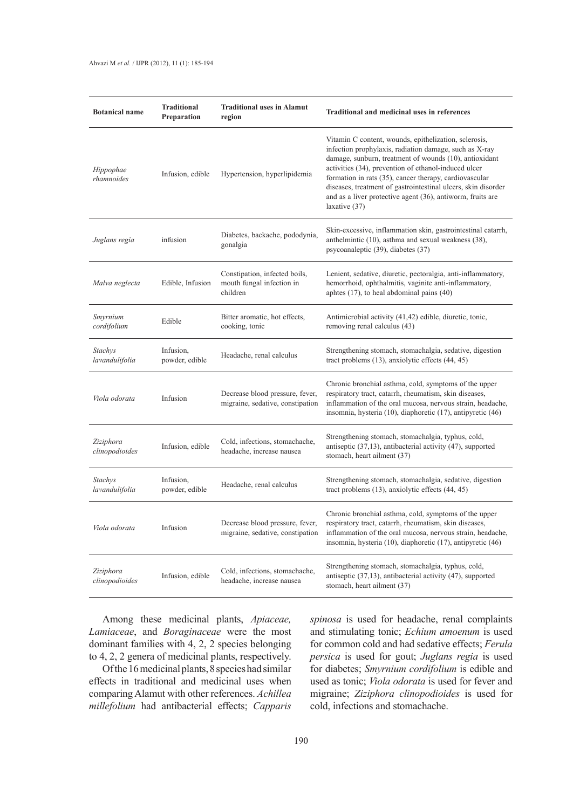| <b>Botanical name</b>       | <b>Traditional</b><br>Preparation | <b>Traditional uses in Alamut</b><br>region                            | Traditional and medicinal uses in references                                                                                                                                                                                                                                                                                                                                                                                                |
|-----------------------------|-----------------------------------|------------------------------------------------------------------------|---------------------------------------------------------------------------------------------------------------------------------------------------------------------------------------------------------------------------------------------------------------------------------------------------------------------------------------------------------------------------------------------------------------------------------------------|
| Hippophae<br>rhamnoides     | Infusion, edible                  | Hypertension, hyperlipidemia                                           | Vitamin C content, wounds, epithelization, sclerosis,<br>infection prophylaxis, radiation damage, such as X-ray<br>damage, sunburn, treatment of wounds (10), antioxidant<br>activities (34), prevention of ethanol-induced ulcer<br>formation in rats (35), cancer therapy, cardiovascular<br>diseases, treatment of gastrointestinal ulcers, skin disorder<br>and as a liver protective agent (36), antiworm, fruits are<br>laxative (37) |
| Juglans regia               | infusion                          | Diabetes, backache, pododynia,<br>gonalgia                             | Skin-excessive, inflammation skin, gastrointestinal catarrh,<br>anthelmintic (10), asthma and sexual weakness (38),<br>psycoanaleptic (39), diabetes (37)                                                                                                                                                                                                                                                                                   |
| Malva neglecta              | Edible, Infusion                  | Constipation, infected boils,<br>mouth fungal infection in<br>children | Lenient, sedative, diuretic, pectoralgia, anti-inflammatory,<br>hemorrhoid, ophthalmitis, vaginite anti-inflammatory,<br>aphtes $(17)$ , to heal abdominal pains $(40)$                                                                                                                                                                                                                                                                     |
| Smyrnium<br>cordifolium     | Edible                            | Bitter aromatic, hot effects,<br>cooking, tonic                        | Antimicrobial activity (41,42) edible, diuretic, tonic,<br>removing renal calculus (43)                                                                                                                                                                                                                                                                                                                                                     |
| Stachys<br>lavandulifolia   | Infusion,<br>powder, edible       | Headache, renal calculus                                               | Strengthening stomach, stomachalgia, sedative, digestion<br>tract problems (13), anxiolytic effects (44, 45)                                                                                                                                                                                                                                                                                                                                |
| Viola odorata               | Infusion                          | Decrease blood pressure, fever,<br>migraine, sedative, constipation    | Chronic bronchial asthma, cold, symptoms of the upper<br>respiratory tract, catarrh, rheumatism, skin diseases,<br>inflammation of the oral mucosa, nervous strain, headache,<br>insomnia, hysteria (10), diaphoretic (17), antipyretic (46)                                                                                                                                                                                                |
| Ziziphora<br>clinopodioides | Infusion, edible                  | Cold, infections, stomachache,<br>headache, increase nausea            | Strengthening stomach, stomachalgia, typhus, cold,<br>antiseptic (37,13), antibacterial activity (47), supported<br>stomach, heart ailment (37)                                                                                                                                                                                                                                                                                             |
| Stachys<br>lavandulifolia   | Infusion,<br>powder, edible       | Headache, renal calculus                                               | Strengthening stomach, stomachalgia, sedative, digestion<br>tract problems (13), anxiolytic effects (44, 45)                                                                                                                                                                                                                                                                                                                                |
| Viola odorata               | Infusion                          | Decrease blood pressure, fever,<br>migraine, sedative, constipation    | Chronic bronchial asthma, cold, symptoms of the upper<br>respiratory tract, catarrh, rheumatism, skin diseases,<br>inflammation of the oral mucosa, nervous strain, headache,<br>insomnia, hysteria (10), diaphoretic (17), antipyretic (46)                                                                                                                                                                                                |
| Ziziphora<br>clinopodioides | Infusion, edible                  | Cold, infections, stomachache,<br>headache, increase nausea            | Strengthening stomach, stomachalgia, typhus, cold,<br>antiseptic (37,13), antibacterial activity (47), supported<br>stomach, heart ailment (37)                                                                                                                                                                                                                                                                                             |

Among these medicinal plants, *Apiaceae, Lamiaceae*, and *Boraginaceae* were the most dominant families with 4, 2, 2 species belonging to 4, 2, 2 genera of medicinal plants, respectively.

Of the 16 medicinal plants, 8 species had similar effects in traditional and medicinal uses when comparing Alamut with other references. *Achillea millefolium* had antibacterial effects; *Capparis* 

*spinosa* is used for headache, renal complaints and stimulating tonic; *Echium amoenum* is used for common cold and had sedative effects; *Ferula persica* is used for gout; *Juglans regia* is used for diabetes; *Smyrnium cordifolium* is edible and used as tonic; *Viola odorata* is used for fever and migraine; *Ziziphora clinopodioides* is used for cold, infections and stomachache.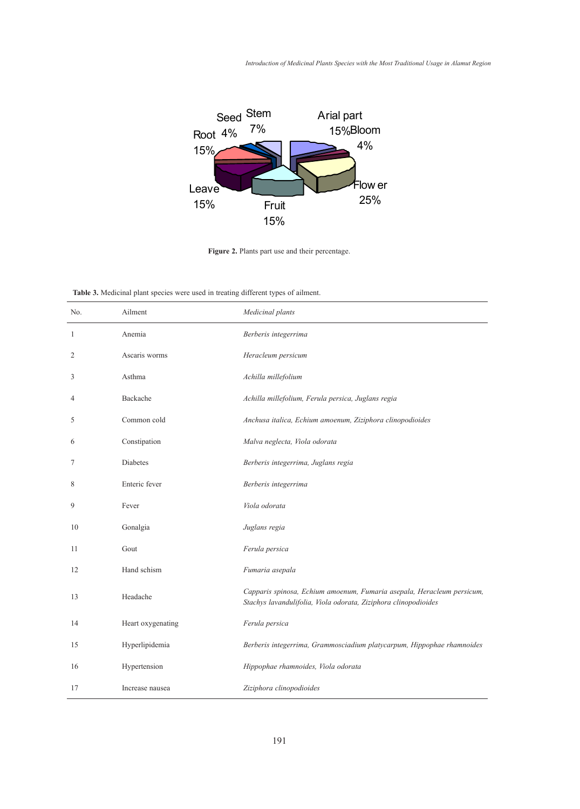*Introduction of Medicinal Plants Species with the Most Traditional Usage in Alamut Region* in treating 27 different types of ailment (Table 3).



**Figure 2.** Plants part use and their percentage.

**Table 3.** Medicinal plant species were used in treating different types of ailment. **Table 3.** Medicinal plant species were used in treating different types of ailment

| <b>rable 5.</b> Medicinal plant species were used in treating different types of annient. |                   |                                                                                                                                           |
|-------------------------------------------------------------------------------------------|-------------------|-------------------------------------------------------------------------------------------------------------------------------------------|
| No.                                                                                       | Ailment           | Medicinal plants                                                                                                                          |
| 1                                                                                         | Anemia            | Berberis integerrima                                                                                                                      |
| 2                                                                                         | Ascaris worms     | Heracleum persicum                                                                                                                        |
| 3                                                                                         | Asthma            | Achilla millefolium                                                                                                                       |
| 4                                                                                         | Backache          | Achilla millefolium, Ferula persica, Juglans regia                                                                                        |
| 5                                                                                         | Common cold       | Anchusa italica, Echium amoenum, Ziziphora clinopodioides                                                                                 |
| 6                                                                                         | Constipation      | Malva neglecta, Viola odorata                                                                                                             |
| 7                                                                                         | Diabetes          | Berberis integerrima, Juglans regia                                                                                                       |
| 8                                                                                         | Enteric fever     | Berberis integerrima                                                                                                                      |
| 9                                                                                         | Fever             | Viola odorata                                                                                                                             |
| 10                                                                                        | Gonalgia          | Juglans regia                                                                                                                             |
| 11                                                                                        | Gout              | Ferula persica                                                                                                                            |
| 12                                                                                        | Hand schism       | Fumaria asepala                                                                                                                           |
| 13                                                                                        | Headache          | Capparis spinosa, Echium amoenum, Fumaria asepala, Heracleum persicum,<br>Stachys lavandulifolia, Viola odorata, Ziziphora clinopodioides |
| 14                                                                                        | Heart oxygenating | Ferula persica                                                                                                                            |
| 15                                                                                        | Hyperlipidemia    | Berberis integerrima, Grammosciadium platycarpum, Hippophae rhamnoides                                                                    |
| 16                                                                                        | Hypertension      | Hippophae rhamnoides, Viola odorata                                                                                                       |
| 17                                                                                        | Increase nausea   | Ziziphora clinopodioides                                                                                                                  |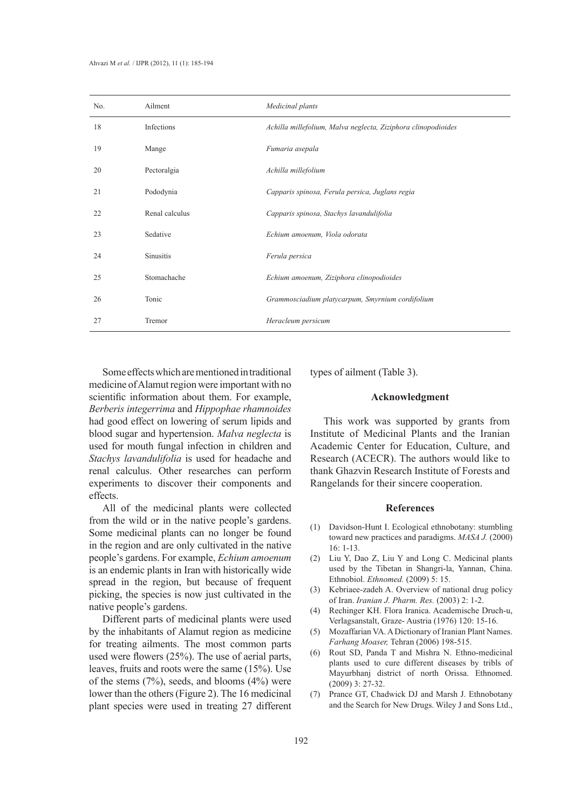| No. | Ailment        | Medicinal plants                                              |
|-----|----------------|---------------------------------------------------------------|
| 18  | Infections     | Achilla millefolium, Malva neglecta, Ziziphora clinopodioides |
| 19  | Mange          | Fumaria asepala                                               |
| 20  | Pectoralgia    | Achilla millefolium                                           |
| 21  | Pododynia      | Capparis spinosa, Ferula persica, Juglans regia               |
| 22  | Renal calculus | Capparis spinosa, Stachys lavandulifolia                      |
| 23  | Sedative       | Echium amoenum, Viola odorata                                 |
| 24  | Sinusitis      | Ferula persica                                                |
| 25  | Stomachache    | Echium amoenum, Ziziphora clinopodioides                      |
| 26  | Tonic          | Grammosciadium platycarpum, Smyrnium cordifolium              |
| 27  | Tremor         | Heracleum persicum                                            |

Some effects which are mentioned in traditional medicine of Alamut region were important with no scientific information about them. For example, *Berberis integerrima* and *Hippophae rhamnoides*  had good effect on lowering of serum lipids and blood sugar and hypertension. *Malva neglecta* is used for mouth fungal infection in children and *Stachys lavandulifolia* is used for headache and renal calculus. Other researches can perform experiments to discover their components and effects.

All of the medicinal plants were collected from the wild or in the native people's gardens. Some medicinal plants can no longer be found in the region and are only cultivated in the native people's gardens. For example, *Echium amoenum* is an endemic plants in Iran with historically wide spread in the region, but because of frequent picking, the species is now just cultivated in the native people's gardens.

Different parts of medicinal plants were used by the inhabitants of Alamut region as medicine for treating ailments. The most common parts used were flowers (25%). The use of aerial parts, leaves, fruits and roots were the same (15%). Use of the stems  $(7%)$ , seeds, and blooms  $(4%)$  were lower than the others (Figure 2). The 16 medicinal plant species were used in treating 27 different types of ailment (Table 3).

## **Acknowledgment**

This work was supported by grants from Institute of Medicinal Plants and the Iranian Academic Center for Education, Culture, and Research (ACECR). The authors would like to thank Ghazvin Research Institute of Forests and Rangelands for their sincere cooperation.

#### **References**

- (1) Davidson-Hunt I. Ecological ethnobotany: stumbling toward new practices and paradigms. *MASA J.* (2000) 16: 1-13.
- (2) Liu Y, Dao Z, Liu Y and Long C. Medicinal plants used by the Tibetan in Shangri-la, Yannan, China. Ethnobiol. *Ethnomed.* (2009) 5: 15.
- (3) Kebriaee-zadeh A. Overview of national drug policy of Iran. *Iranian J. Pharm. Res.* (2003) 2: 1-2.
- (4) Rechinger KH. Flora Iranica. Academische Druch-u, Verlagsanstalt, Graze- Austria (1976) 120: 15-16.
- (5) Mozaffarian VA. A Dictionary of Iranian Plant Names. *Farhang Moaser,* Tehran (2006) 198-515.
- (6) Rout SD, Panda T and Mishra N. Ethno-medicinal plants used to cure different diseases by tribls of Mayurbhanj district of north Orissa. Ethnomed. (2009) 3: 27-32.
- (7) Prance GT, Chadwick DJ and Marsh J. Ethnobotany and the Search for New Drugs. Wiley J and Sons Ltd.,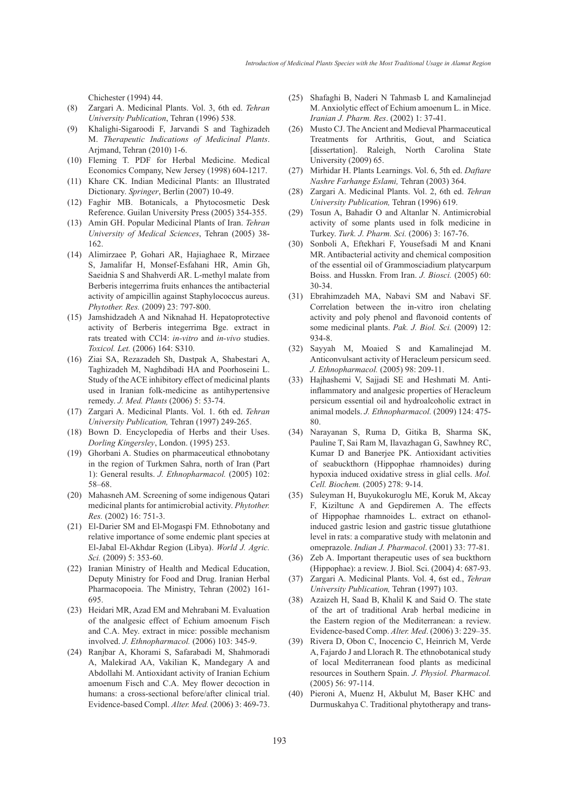Chichester (1994) 44.

- Zargari A. Medicinal Plants. Vol. 3, 6th ed. *Tehran University Publication*, Tehran (1996) 538. (8)
- Khalighi-Sigaroodi F, Jarvandi S and Taghizadeh M. *Therapeutic Indications of Medicinal Plants*. Arjmand, Tehran (2010) 1-6. (9)
- Fleming T. PDF for Herbal Medicine. Medical (10) Economics Company, New Jersey (1998) 604-1217.
- (11) Khare CK. Indian Medicinal Plants: an Illustrated Dictionary. *Springer*, Berlin (2007) 10-49.
- Faghir MB. Botanicals, a Phytocosmetic Desk (12) Reference. Guilan University Press (2005) 354-355.
- Amin GH. Popular Medicinal Plants of Iran. *Tehran*  (13) *University of Medical Sciences*, Tehran (2005) 38- 162.
- Alimirzaee P, Gohari AR, Hajiaghaee R, Mirzaee (14) S, Jamalifar H, Monsef-Esfahani HR, Amin Gh, Saeidnia S and Shahverdi AR. L-methyl malate from Berberis integerrima fruits enhances the antibacterial activity of ampicillin against Staphylococcus aureus. *Phytother. Res.* (2009) 23: 797-800.
- (15) Jamshidzadeh A and Niknahad H. Hepatoprotective activity of Berberis integerrima Bge. extract in rats treated with CCl4: *in-vitro* and *in-vivo* studies. *Toxicol. Let.* (2006) 164: S310.
- (16) Ziai SA, Rezazadeh Sh, Dastpak A, Shabestari A, Taghizadeh M, Naghdibadi HA and Poorhoseini L. Study of the ACE inhibitory effect of medicinal plants used in Iranian folk-medicine as antihypertensive remedy. *J. Med. Plants* (2006) 5: 53-74.
- Zargari A. Medicinal Plants. Vol. 1. 6th ed. *Tehran*  (17) *University Publication,* Tehran (1997) 249-265.
- (18) Bown D. Encyclopedia of Herbs and their Uses. *Dorling Kingersley*, London. (1995) 253.
- Ghorbani A. Studies on pharmaceutical ethnobotany (19) in the region of Turkmen Sahra, north of Iran (Part 1): General results. *J. Ethnopharmacol.* (2005) 102: 58–68.
- (20) Mahasneh AM. Screening of some indigenous Qatari medicinal plants for antimicrobial activity. *Phytother. Res.* (2002) 16: 751-3.
- El-Darier SM and El-Mogaspi FM. Ethnobotany and (21) relative importance of some endemic plant species at El-Jabal El-Akhdar Region (Libya). *World J. Agric. Sci.* (2009) 5: 353-60.
- (22) Iranian Ministry of Health and Medical Education, Deputy Ministry for Food and Drug. Iranian Herbal Pharmacopoeia. The Ministry, Tehran (2002) 161- 695.
- (23) Heidari MR, Azad EM and Mehrabani M. Evaluation of the analgesic effect of Echium amoenum Fisch and C.A. Mey. extract in mice: possible mechanism involved. *J. Ethnopharmacol.* (2006) 103: 345-9.
- Ranjbar A, Khorami S, Safarabadi M, Shahmoradi (24) A, Malekirad AA, Vakilian K, Mandegary A and Abdollahi M. Antioxidant activity of Iranian Echium amoenum Fisch and C.A. Mey flower decoction in humans: a cross-sectional before/after clinical trial. Evidence-based Compl. *Alter. Med.* (2006) 3: 469-73.
- (25) Shafaghi B, Naderi N Tahmasb L and Kamalinejad M. Anxiolytic effect of Echium amoenum L. in Mice. *Iranian J. Pharm. Res*. (2002) 1: 37-41.
- Musto CJ. The Ancient and Medieval Pharmaceutical Treatments for Arthritis, Gout, and Sciatica [dissertation]. Raleigh, North Carolina State University (2009) 65. (26)
- Mirhidar H. Plants Learnings. Vol. 6, 5th ed. *Daftare*  (27) *Nashre Farhange Eslami,* Tehran (2003) 364.
- Zargari A. Medicinal Plants. Vol. 2, 6th ed. *Tehran*  (28) *University Publication,* Tehran (1996) 619.
- Tosun A, Bahadir O and Altanlar N. Antimicrobial (29) activity of some plants used in folk medicine in Turkey. *Turk. J. Pharm. Sci.* (2006) 3: 167-76.
- Sonboli A, Eftekhari F, Yousefsadi M and Knani (30) MR. Antibacterial activity and chemical composition of the essential oil of Grammosciadium platycarpum Boiss. and Husskn. From Iran. *J. Biosci.* (2005) 60: 30-34.
- Ebrahimzadeh MA, Nabavi SM and Nabavi SF. (31) Correlation between the in-vitro iron chelating activity and poly phenol and flavonoid contents of some medicinal plants. *Pak. J. Biol. Sci.* (2009) 12: 934-8.
- (32) Sayyah M, Moaied S and Kamalinejad M. Anticonvulsant activity of Heracleum persicum seed. *J. Ethnopharmacol.* (2005) 98: 209-11.
- Hajhashemi V, Sajjadi SE and Heshmati M. Anti-(33) inflammatory and analgesic properties of Heracleum persicum essential oil and hydroalcoholic extract in animal models. *J. Ethnopharmacol.* (2009) 124: 475- 80.
- Narayanan S, Ruma D, Gitika B, Sharma SK, (34) Pauline T, Sai Ram M, Ilavazhagan G, Sawhney RC, Kumar D and Banerjee PK. Antioxidant activities of seabuckthorn (Hippophae rhamnoides) during hypoxia induced oxidative stress in glial cells. *Mol. Cell. Biochem.* (2005) 278: 9-14.
- Suleyman H, Buyukokuroglu ME, Koruk M, Akcay F, Kiziltunc A and Gepdiremen A. The effects of Hippophae rhamnoides L. extract on ethanolinduced gastric lesion and gastric tissue glutathione level in rats: a comparative study with melatonin and omeprazole. *Indian J. Pharmacol*. (2001) 33: 77-81. (35)
- (36) Zeb A. Important therapeutic uses of sea buckthorn (Hippophae): a review. J. Biol. Sci. (2004) 4: 687-93.
- Zargari A. Medicinal Plants. Vol. 4, 6st ed., *Tehran*  (37) *University Publication,* Tehran (1997) 103.
- Azaizeh H, Saad B, Khalil K and Said O. The state (38) of the art of traditional Arab herbal medicine in the Eastern region of the Mediterranean: a review. Evidence-based Comp. *Alter. Med*. (2006) 3: 229–35.
- (39) Rivera D, Obon C, Inocencio C, Heinrich M, Verde A, Fajardo J and Llorach R. The ethnobotanical study of local Mediterranean food plants as medicinal resources in Southern Spain. *J. Physiol. Pharmacol.* (2005) 56: 97-114.
- (40) Pieroni A, Muenz H, Akbulut M, Baser KHC and Durmuskahya C. Traditional phytotherapy and trans-